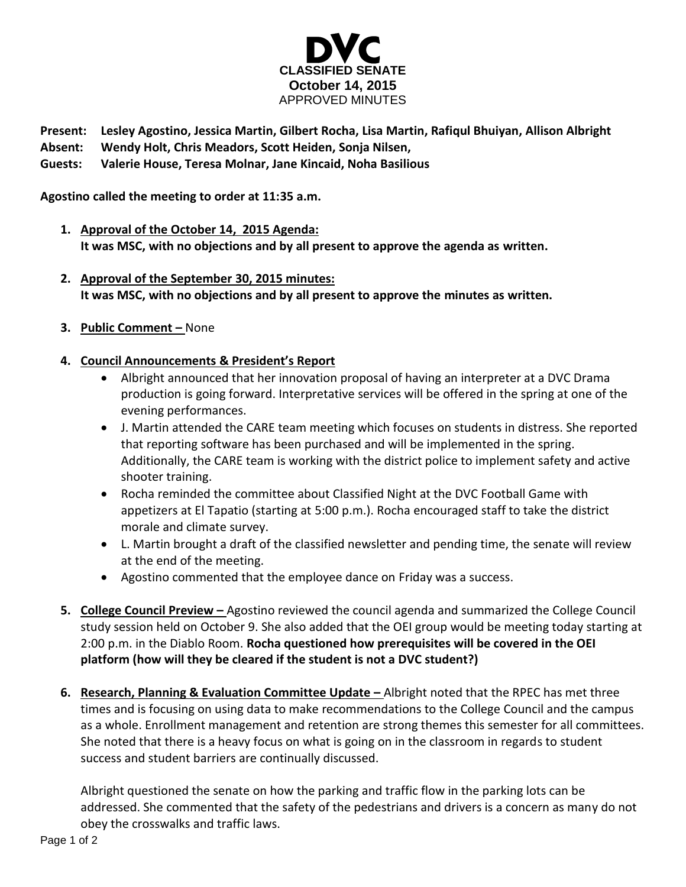

**Present: Lesley Agostino, Jessica Martin, Gilbert Rocha, Lisa Martin, Rafiqul Bhuiyan, Allison Albright**

**Absent: Wendy Holt, Chris Meadors, Scott Heiden, Sonja Nilsen,**

**Guests: Valerie House, Teresa Molnar, Jane Kincaid, Noha Basilious**

**Agostino called the meeting to order at 11:35 a.m.**

- **1. Approval of the October 14, 2015 Agenda: It was MSC, with no objections and by all present to approve the agenda as written.**
- **2. Approval of the September 30, 2015 minutes: It was MSC, with no objections and by all present to approve the minutes as written.**
- **3. Public Comment –** None
- **4. Council Announcements & President's Report**
	- Albright announced that her innovation proposal of having an interpreter at a DVC Drama production is going forward. Interpretative services will be offered in the spring at one of the evening performances.
	- J. Martin attended the CARE team meeting which focuses on students in distress. She reported that reporting software has been purchased and will be implemented in the spring. Additionally, the CARE team is working with the district police to implement safety and active shooter training.
	- Rocha reminded the committee about Classified Night at the DVC Football Game with appetizers at El Tapatio (starting at 5:00 p.m.). Rocha encouraged staff to take the district morale and climate survey.
	- L. Martin brought a draft of the classified newsletter and pending time, the senate will review at the end of the meeting.
	- Agostino commented that the employee dance on Friday was a success.
- **5. College Council Preview –** Agostino reviewed the council agenda and summarized the College Council study session held on October 9. She also added that the OEI group would be meeting today starting at 2:00 p.m. in the Diablo Room. **Rocha questioned how prerequisites will be covered in the OEI platform (how will they be cleared if the student is not a DVC student?)**
- **6.** Research, Planning & Evaluation Committee Update Albright noted that the RPEC has met three times and is focusing on using data to make recommendations to the College Council and the campus as a whole. Enrollment management and retention are strong themes this semester for all committees. She noted that there is a heavy focus on what is going on in the classroom in regards to student success and student barriers are continually discussed.

Albright questioned the senate on how the parking and traffic flow in the parking lots can be addressed. She commented that the safety of the pedestrians and drivers is a concern as many do not obey the crosswalks and traffic laws.